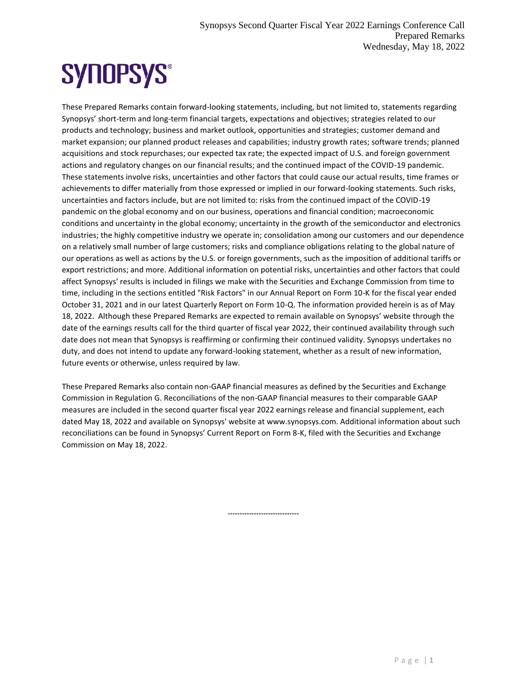## **SYNOPSYS®**

These Prepared Remarks contain forward-looking statements, including, but not limited to, statements regarding Synopsys' short-term and long-term financial targets, expectations and objectives; strategies related to our products and technology; business and market outlook, opportunities and strategies; customer demand and market expansion; our planned product releases and capabilities; industry growth rates; software trends; planned acquisitions and stock repurchases; our expected tax rate; the expected impact of U.S. and foreign government actions and regulatory changes on our financial results; and the continued impact of the COVID-19 pandemic. These statements involve risks, uncertainties and other factors that could cause our actual results, time frames or achievements to differ materially from those expressed or implied in our forward-looking statements. Such risks, uncertainties and factors include, but are not limited to: risks from the continued impact of the COVID-19 pandemic on the global economy and on our business, operations and financial condition; macroeconomic conditions and uncertainty in the global economy; uncertainty in the growth of the semiconductor and electronics industries; the highly competitive industry we operate in; consolidation among our customers and our dependence on a relatively small number of large customers; risks and compliance obligations relating to the global nature of our operations as well as actions by the U.S. or foreign governments, such as the imposition of additional tariffs or export restrictions; and more. Additional information on potential risks, uncertainties and other factors that could affect Synopsys' results is included in filings we make with the Securities and Exchange Commission from time to time, including in the sections entitled "Risk Factors" in our Annual Report on Form 10-K for the fiscal year ended October 31, 2021 and in our latest Quarterly Report on Form 10-Q. The information provided herein is as of May 18, 2022. Although these Prepared Remarks are expected to remain available on Synopsys' website through the date of the earnings results call for the third quarter of fiscal year 2022, their continued availability through such date does not mean that Synopsys is reaffirming or confirming their continued validity. Synopsys undertakes no duty, and does not intend to update any forward-looking statement, whether as a result of new information, future events or otherwise, unless required by law.

These Prepared Remarks also contain non-GAAP financial measures as defined by the Securities and Exchange Commission in Regulation G. Reconciliations of the non-GAAP financial measures to their comparable GAAP measures are included in the second quarter fiscal year 2022 earnings release and financial supplement, each dated May 18, 2022 and available on Synopsys' website at www.synopsys.com. Additional information about such reconciliations can be found in Synopsys' Current Report on Form 8-K, filed with the Securities and Exchange Commission on May 18, 2022.

\*\*\*\*\*\*\*\*\*\*\*\*\*\*\*\*\*\*\*\*\*\*\*\*\*\*\*\*\*\*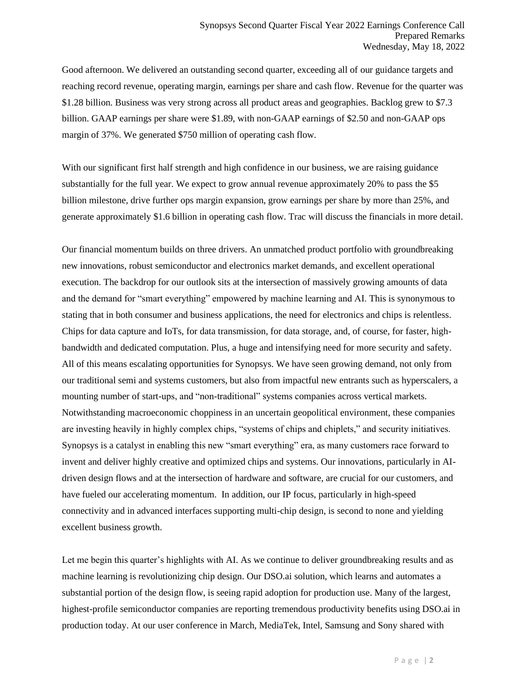Good afternoon. We delivered an outstanding second quarter, exceeding all of our guidance targets and reaching record revenue, operating margin, earnings per share and cash flow. Revenue for the quarter was \$1.28 billion. Business was very strong across all product areas and geographies. Backlog grew to \$7.3 billion. GAAP earnings per share were \$1.89, with non-GAAP earnings of \$2.50 and non-GAAP ops margin of 37%. We generated \$750 million of operating cash flow.

With our significant first half strength and high confidence in our business, we are raising guidance substantially for the full year. We expect to grow annual revenue approximately 20% to pass the \$5 billion milestone, drive further ops margin expansion, grow earnings per share by more than 25%, and generate approximately \$1.6 billion in operating cash flow. Trac will discuss the financials in more detail.

Our financial momentum builds on three drivers. An unmatched product portfolio with groundbreaking new innovations, robust semiconductor and electronics market demands, and excellent operational execution. The backdrop for our outlook sits at the intersection of massively growing amounts of data and the demand for "smart everything" empowered by machine learning and AI. This is synonymous to stating that in both consumer and business applications, the need for electronics and chips is relentless. Chips for data capture and IoTs, for data transmission, for data storage, and, of course, for faster, highbandwidth and dedicated computation. Plus, a huge and intensifying need for more security and safety. All of this means escalating opportunities for Synopsys. We have seen growing demand, not only from our traditional semi and systems customers, but also from impactful new entrants such as hyperscalers, a mounting number of start-ups, and "non-traditional" systems companies across vertical markets. Notwithstanding macroeconomic choppiness in an uncertain geopolitical environment, these companies are investing heavily in highly complex chips, "systems of chips and chiplets," and security initiatives. Synopsys is a catalyst in enabling this new "smart everything" era, as many customers race forward to invent and deliver highly creative and optimized chips and systems. Our innovations, particularly in AIdriven design flows and at the intersection of hardware and software, are crucial for our customers, and have fueled our accelerating momentum. In addition, our IP focus, particularly in high-speed connectivity and in advanced interfaces supporting multi-chip design, is second to none and yielding excellent business growth.

Let me begin this quarter's highlights with AI. As we continue to deliver groundbreaking results and as machine learning is revolutionizing chip design. Our DSO.ai solution, which learns and automates a substantial portion of the design flow, is seeing rapid adoption for production use. Many of the largest, highest-profile semiconductor companies are reporting tremendous productivity benefits using DSO.ai in production today. At our user conference in March, MediaTek, Intel, Samsung and Sony shared with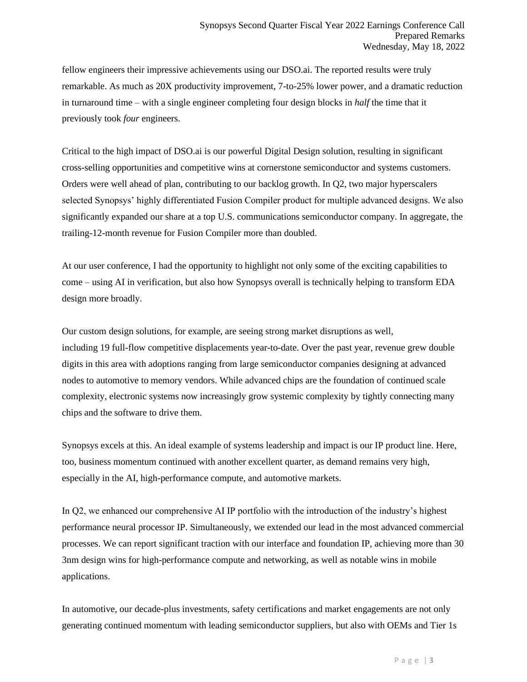fellow engineers their impressive achievements using our DSO.ai. The reported results were truly remarkable. As much as 20X productivity improvement, 7-to-25% lower power, and a dramatic reduction in turnaround time – with a single engineer completing four design blocks in *half* the time that it previously took *four* engineers.

Critical to the high impact of DSO.ai is our powerful Digital Design solution, resulting in significant cross-selling opportunities and competitive wins at cornerstone semiconductor and systems customers. Orders were well ahead of plan, contributing to our backlog growth. In Q2, two major hyperscalers selected Synopsys' highly differentiated Fusion Compiler product for multiple advanced designs. We also significantly expanded our share at a top U.S. communications semiconductor company. In aggregate, the trailing-12-month revenue for Fusion Compiler more than doubled.

At our user conference, I had the opportunity to highlight not only some of the exciting capabilities to come – using AI in verification, but also how Synopsys overall is technically helping to transform EDA design more broadly.

Our custom design solutions, for example, are seeing strong market disruptions as well, including 19 full-flow competitive displacements year-to-date. Over the past year, revenue grew double digits in this area with adoptions ranging from large semiconductor companies designing at advanced nodes to automotive to memory vendors. While advanced chips are the foundation of continued scale complexity, electronic systems now increasingly grow systemic complexity by tightly connecting many chips and the software to drive them.

Synopsys excels at this. An ideal example of systems leadership and impact is our IP product line. Here, too, business momentum continued with another excellent quarter, as demand remains very high, especially in the AI, high-performance compute, and automotive markets.

In Q2, we enhanced our comprehensive AI IP portfolio with the introduction of the industry's highest performance neural processor IP. Simultaneously, we extended our lead in the most advanced commercial processes. We can report significant traction with our interface and foundation IP, achieving more than 30 3nm design wins for high-performance compute and networking, as well as notable wins in mobile applications.

In automotive, our decade-plus investments, safety certifications and market engagements are not only generating continued momentum with leading semiconductor suppliers, but also with OEMs and Tier 1s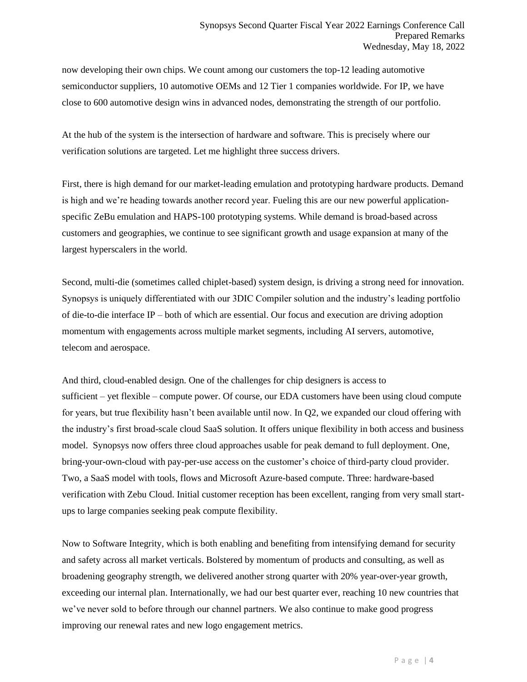now developing their own chips. We count among our customers the top-12 leading automotive semiconductor suppliers, 10 automotive OEMs and 12 Tier 1 companies worldwide. For IP, we have close to 600 automotive design wins in advanced nodes, demonstrating the strength of our portfolio.

At the hub of the system is the intersection of hardware and software. This is precisely where our verification solutions are targeted. Let me highlight three success drivers.

First, there is high demand for our market-leading emulation and prototyping hardware products. Demand is high and we're heading towards another record year. Fueling this are our new powerful applicationspecific ZeBu emulation and HAPS-100 prototyping systems. While demand is broad-based across customers and geographies, we continue to see significant growth and usage expansion at many of the largest hyperscalers in the world.

Second, multi-die (sometimes called chiplet-based) system design, is driving a strong need for innovation. Synopsys is uniquely differentiated with our 3DIC Compiler solution and the industry's leading portfolio of die-to-die interface IP – both of which are essential. Our focus and execution are driving adoption momentum with engagements across multiple market segments, including AI servers, automotive, telecom and aerospace.

And third, cloud-enabled design. One of the challenges for chip designers is access to sufficient – yet flexible – compute power. Of course, our EDA customers have been using cloud compute for years, but true flexibility hasn't been available until now. In Q2, we expanded our cloud offering with the industry's first broad-scale cloud SaaS solution. It offers unique flexibility in both access and business model. Synopsys now offers three cloud approaches usable for peak demand to full deployment. One, bring-your-own-cloud with pay-per-use access on the customer's choice of third-party cloud provider. Two, a SaaS model with tools, flows and Microsoft Azure-based compute. Three: hardware-based verification with Zebu Cloud. Initial customer reception has been excellent, ranging from very small startups to large companies seeking peak compute flexibility.

Now to Software Integrity, which is both enabling and benefiting from intensifying demand for security and safety across all market verticals. Bolstered by momentum of products and consulting, as well as broadening geography strength, we delivered another strong quarter with 20% year-over-year growth, exceeding our internal plan. Internationally, we had our best quarter ever, reaching 10 new countries that we've never sold to before through our channel partners. We also continue to make good progress improving our renewal rates and new logo engagement metrics.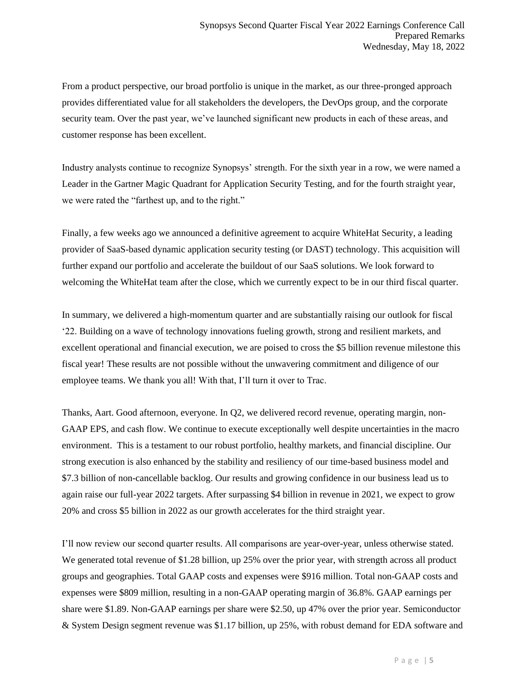From a product perspective, our broad portfolio is unique in the market, as our three-pronged approach provides differentiated value for all stakeholders the developers, the DevOps group, and the corporate security team. Over the past year, we've launched significant new products in each of these areas, and customer response has been excellent.

Industry analysts continue to recognize Synopsys' strength. For the sixth year in a row, we were named a Leader in the Gartner Magic Quadrant for Application Security Testing, and for the fourth straight year, we were rated the "farthest up, and to the right."

Finally, a few weeks ago we announced a definitive agreement to acquire WhiteHat Security, a leading provider of SaaS-based dynamic application security testing (or DAST) technology. This acquisition will further expand our portfolio and accelerate the buildout of our SaaS solutions. We look forward to welcoming the WhiteHat team after the close, which we currently expect to be in our third fiscal quarter.

In summary, we delivered a high-momentum quarter and are substantially raising our outlook for fiscal '22. Building on a wave of technology innovations fueling growth, strong and resilient markets, and excellent operational and financial execution, we are poised to cross the \$5 billion revenue milestone this fiscal year! These results are not possible without the unwavering commitment and diligence of our employee teams. We thank you all! With that, I'll turn it over to Trac.

Thanks, Aart. Good afternoon, everyone. In Q2, we delivered record revenue, operating margin, non-GAAP EPS, and cash flow. We continue to execute exceptionally well despite uncertainties in the macro environment. This is a testament to our robust portfolio, healthy markets, and financial discipline. Our strong execution is also enhanced by the stability and resiliency of our time-based business model and \$7.3 billion of non-cancellable backlog. Our results and growing confidence in our business lead us to again raise our full-year 2022 targets. After surpassing \$4 billion in revenue in 2021, we expect to grow 20% and cross \$5 billion in 2022 as our growth accelerates for the third straight year.

I'll now review our second quarter results. All comparisons are year-over-year, unless otherwise stated. We generated total revenue of \$1.28 billion, up 25% over the prior year, with strength across all product groups and geographies. Total GAAP costs and expenses were \$916 million. Total non-GAAP costs and expenses were \$809 million, resulting in a non-GAAP operating margin of 36.8%. GAAP earnings per share were \$1.89. Non-GAAP earnings per share were \$2.50, up 47% over the prior year. Semiconductor & System Design segment revenue was \$1.17 billion, up 25%, with robust demand for EDA software and